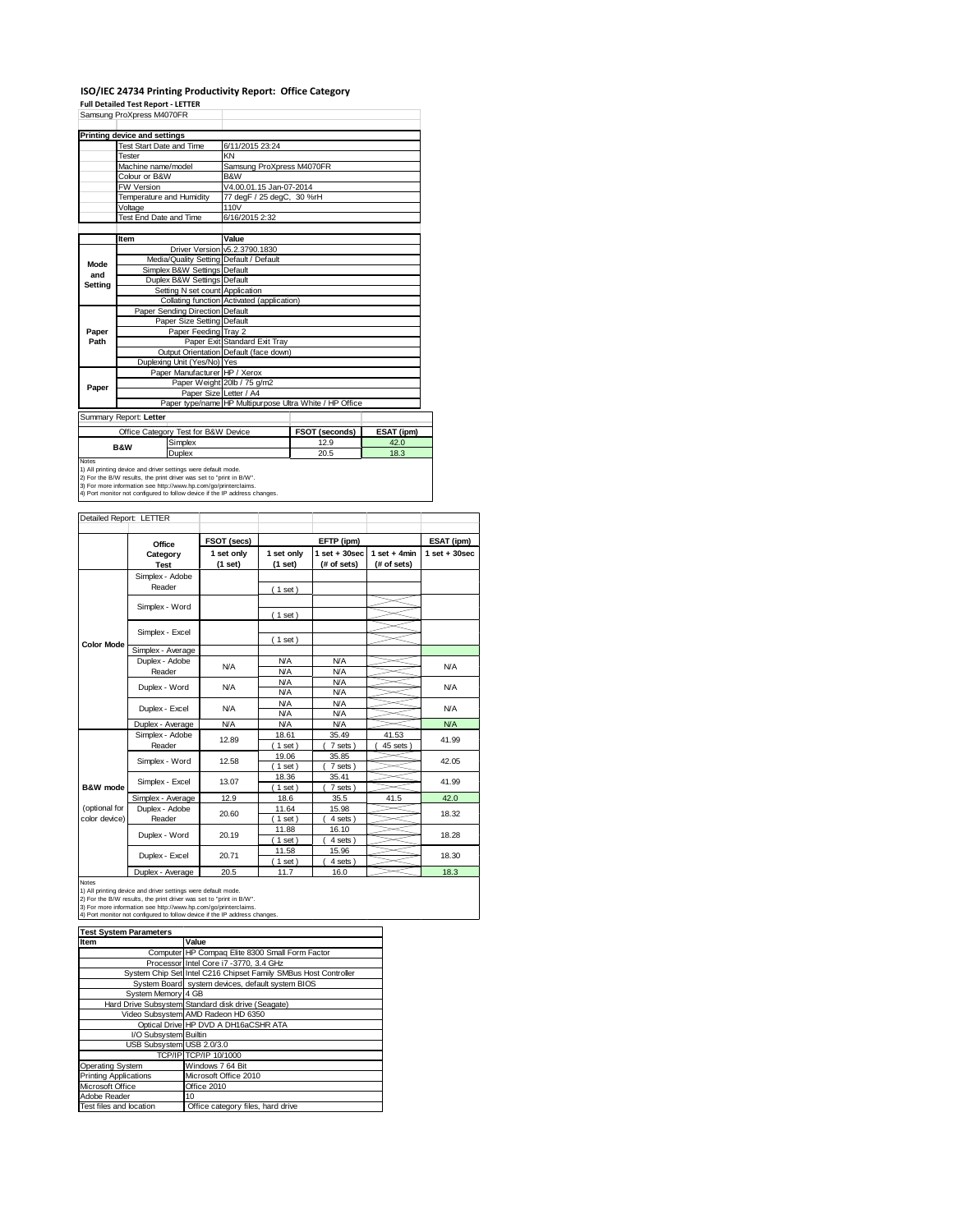#### **ISO/IEC 24734 Printing Productivity Report: Office Category Full Detailed Test Report ‐ LETTER**

|              | Samsung ProXpress M4070FR         |                                     |                                            |                                                         |            |
|--------------|-----------------------------------|-------------------------------------|--------------------------------------------|---------------------------------------------------------|------------|
|              | Printing device and settings      |                                     |                                            |                                                         |            |
|              | <b>Test Start Date and Time</b>   |                                     | 6/11/2015 23:24                            |                                                         |            |
|              | Tester                            |                                     | KN                                         |                                                         |            |
|              | Machine name/model                |                                     | Samsung ProXpress M4070FR                  |                                                         |            |
|              | Colour or B&W                     |                                     | B&W                                        |                                                         |            |
|              | <b>FW Version</b>                 |                                     | V4.00.01.15 Jan-07-2014                    |                                                         |            |
|              | Temperature and Humidity          |                                     | 77 degF / 25 degC, 30 %rH                  |                                                         |            |
|              | Voltage                           |                                     | 110V                                       |                                                         |            |
|              | Test End Date and Time            |                                     | 6/16/2015 2:32                             |                                                         |            |
|              |                                   |                                     |                                            |                                                         |            |
|              | Item                              |                                     | Value                                      |                                                         |            |
|              |                                   |                                     | Driver Version v5.2.3790.1830              |                                                         |            |
| Mode         |                                   |                                     | Media/Quality Setting Default / Default    |                                                         |            |
| and          |                                   | Simplex B&W Settings Default        |                                            |                                                         |            |
| Settina      |                                   | Duplex B&W Settings Default         |                                            |                                                         |            |
|              |                                   | Setting N set count Application     |                                            |                                                         |            |
|              |                                   |                                     | Collating function Activated (application) |                                                         |            |
|              |                                   | Paper Sending Direction Default     |                                            |                                                         |            |
|              |                                   | Paper Size Setting Default          |                                            |                                                         |            |
| Paper        |                                   | Paper Feeding Tray 2                |                                            |                                                         |            |
| Path         |                                   |                                     | Paper Exit Standard Exit Tray              |                                                         |            |
|              |                                   |                                     | Output Orientation Default (face down)     |                                                         |            |
|              |                                   | Duplexing Unit (Yes/No) Yes         |                                            |                                                         |            |
|              |                                   | Paper Manufacturer HP / Xerox       |                                            |                                                         |            |
| Paper        |                                   |                                     | Paper Weight 20lb / 75 g/m2                |                                                         |            |
|              |                                   |                                     | Paper Size Letter / A4                     |                                                         |            |
|              |                                   |                                     |                                            | Paper type/name HP Multipurpose Ultra White / HP Office |            |
|              | Summary Report: Letter            |                                     |                                            |                                                         |            |
|              |                                   | Office Category Test for B&W Device |                                            | FSOT (seconds)                                          | ESAT (ipm) |
|              |                                   | Simplex                             |                                            | 12.9                                                    | 42.0       |
|              | <b>B&amp;W</b>                    | Duplex                              |                                            | 20.5                                                    | 18.3       |
| <b>Notes</b> | <b>Contract Contract Contract</b> |                                     |                                            |                                                         |            |

Notes<br>1) All printing device and driver settings were default mode.<br>2) For the B/W results, the print driver was set to "print in B/W".<br>3) For more information see http://www.hp.com/go/printerclaims.<br>4) Port monitor not co

| Detailed Report: LETTER        |                           |                       |                          |                                  |                               |                   |
|--------------------------------|---------------------------|-----------------------|--------------------------|----------------------------------|-------------------------------|-------------------|
|                                | Office                    | FSOT (secs)           |                          | EFTP (ipm)                       |                               | ESAT (ipm)        |
|                                | Category<br><b>Test</b>   | 1 set only<br>(1 set) | 1 set only<br>(1 set)    | $1$ set $+30$ sec<br>(# of sets) | $1$ set + 4min<br>(# of sets) | $1$ set $+30$ sec |
|                                | Simplex - Adobe<br>Reader |                       | (1 set)                  |                                  |                               |                   |
|                                | Simplex - Word            |                       | $1$ set)                 |                                  |                               |                   |
|                                | Simplex - Excel           |                       |                          |                                  |                               |                   |
| <b>Color Mode</b>              | Simplex - Average         |                       | (1 set)                  |                                  |                               |                   |
|                                | Duplex - Adobe<br>Reader  | N/A                   | <b>N/A</b><br><b>N/A</b> | <b>N/A</b><br><b>N/A</b>         |                               | <b>N/A</b>        |
|                                | Duplex - Word             | <b>N/A</b>            | <b>N/A</b><br><b>N/A</b> | <b>N/A</b><br><b>N/A</b>         |                               | <b>N/A</b>        |
|                                | Duplex - Excel            | N/A                   | <b>N/A</b><br><b>N/A</b> | <b>N/A</b><br><b>N/A</b>         |                               | <b>N/A</b>        |
|                                | Duplex - Average          | <b>N/A</b>            | <b>N/A</b>               | <b>N/A</b>                       |                               | <b>N/A</b>        |
|                                | Simplex - Adobe<br>Reader | 12.89                 | 18.61<br>$1$ set)        | 35.49<br>7 sets)                 | 41.53<br>45 sets              | 41.99             |
|                                | Simplex - Word            | 12.58                 | 19.06<br>$1$ set)        | 35.85<br>7 sets)                 |                               | 42.05             |
| B&W mode                       | Simplex - Excel           | 13.07                 | 18.36<br>$1$ set)        | 35.41<br>7 sets)                 |                               | 41.99             |
|                                | Simplex - Average         | 12.9                  | 18.6                     | 35.5                             | 41.5                          | 42.0              |
| (optional for<br>color device) | Duplex - Adobe<br>Reader  | 20.60                 | 11.64<br>$1$ set)        | 15.98<br>4 sets)                 |                               | 18.32             |
|                                | Duplex - Word             | 20.19                 | 11.88<br>$1$ set)        | 16.10<br>4 sets)                 |                               | 18.28             |
|                                | Duplex - Excel            | 20.71                 | 11.58<br>$1$ set)        | 15.96<br>4 sets)                 |                               | 18.30             |
|                                | Dualett Armanan           | 00F                   | 44.7                     | 400                              |                               | 402               |

Notes<br>
19. Notes<br>
1) All printing device and driver settings were default mode.<br>
2) For the B/W results, the print driver was set to "print in B/W".<br>
3) For more information see http://www.hp.com/go/printerclaims.<br>
3) Fo

| <b>Test System Parameters</b> |                                                                 |  |  |
|-------------------------------|-----------------------------------------------------------------|--|--|
| Item                          | Value                                                           |  |  |
|                               | Computer HP Compaq Elite 8300 Small Form Factor                 |  |  |
|                               | Processor Intel Core i7 -3770, 3.4 GHz                          |  |  |
|                               | System Chip Set Intel C216 Chipset Family SMBus Host Controller |  |  |
|                               | System Board system devices, default system BIOS                |  |  |
| System Memory 4 GB            |                                                                 |  |  |
|                               | Hard Drive Subsystem Standard disk drive (Seagate)              |  |  |
|                               | Video Subsystem AMD Radeon HD 6350                              |  |  |
|                               | Optical Drive HP DVD A DH16aCSHR ATA                            |  |  |
| I/O Subsystem Builtin         |                                                                 |  |  |
| USB Subsystem USB 2.0/3.0     |                                                                 |  |  |
|                               | TCP/IP TCP/IP 10/1000                                           |  |  |
| Operating System              | Windows 7 64 Bit                                                |  |  |
| <b>Printing Applications</b>  | Microsoft Office 2010                                           |  |  |
| Microsoft Office              | Office 2010                                                     |  |  |
| Adobe Reader                  | 10                                                              |  |  |
| Test files and location       | Office category files, hard drive                               |  |  |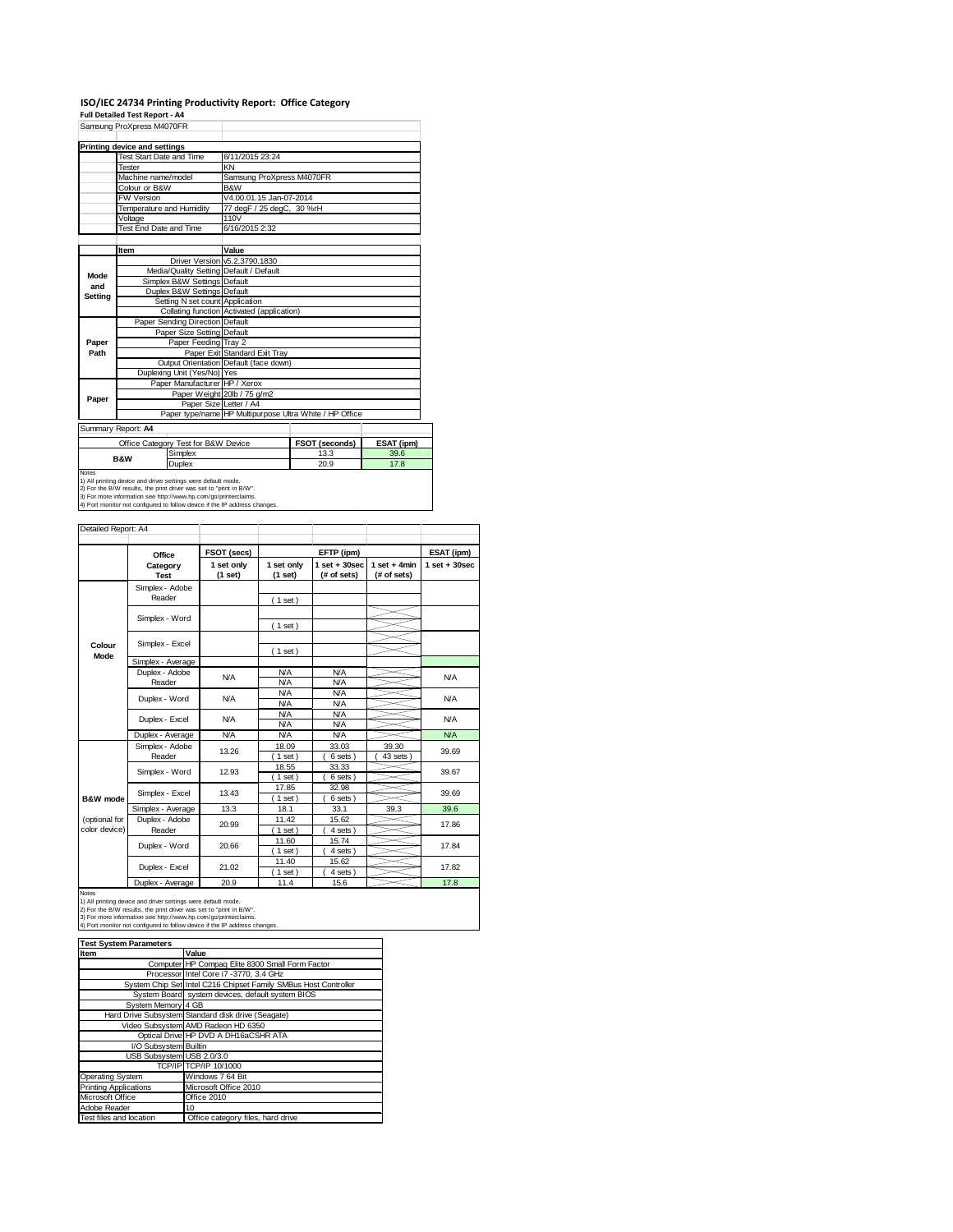## **ISO/IEC 24734 Printing Productivity Report: Office Category Full Detailed Test Report ‐ A4**

|               | Samsung ProXpress M4070FR                                     |                                         |                                                         |                |            |  |
|---------------|---------------------------------------------------------------|-----------------------------------------|---------------------------------------------------------|----------------|------------|--|
|               | <b>Printing device and settings</b>                           |                                         |                                                         |                |            |  |
|               | Test Start Date and Time                                      |                                         | 6/11/2015 23:24                                         |                |            |  |
|               | Tester                                                        |                                         | KN                                                      |                |            |  |
|               | Machine name/model                                            |                                         | Samsung ProXpress M4070FR                               |                |            |  |
|               | Colour or B&W                                                 |                                         | B&W                                                     |                |            |  |
|               | <b>FW Version</b>                                             |                                         | V4.00.01.15 Jan-07-2014                                 |                |            |  |
|               | Temperature and Humidity                                      |                                         | 77 degF / 25 degC, 30 %rH                               |                |            |  |
|               | Voltage                                                       |                                         | 110V                                                    |                |            |  |
|               | Test End Date and Time                                        |                                         | 6/16/2015 2:32                                          |                |            |  |
|               |                                                               |                                         |                                                         |                |            |  |
|               | Item                                                          |                                         | Value                                                   |                |            |  |
|               |                                                               |                                         | Driver Version v5.2.3790.1830                           |                |            |  |
| Mode          |                                                               | Media/Quality Setting Default / Default |                                                         |                |            |  |
| and           |                                                               | Simplex B&W Settings Default            |                                                         |                |            |  |
| Setting       |                                                               | Duplex B&W Settings Default             |                                                         |                |            |  |
|               |                                                               | Setting N set count Application         |                                                         |                |            |  |
|               |                                                               |                                         | Collating function Activated (application)              |                |            |  |
|               |                                                               | Paper Sending Direction Default         |                                                         |                |            |  |
|               |                                                               | Paper Size Setting Default              |                                                         |                |            |  |
| Paper<br>Path |                                                               | Paper Feeding Tray 2                    | Paper Exit Standard Exit Tray                           |                |            |  |
|               |                                                               |                                         | Output Orientation Default (face down)                  |                |            |  |
|               |                                                               | Duplexing Unit (Yes/No) Yes             |                                                         |                |            |  |
|               |                                                               | Paper Manufacturer HP / Xerox           |                                                         |                |            |  |
|               |                                                               |                                         | Paper Weight 20lb / 75 g/m2                             |                |            |  |
| Paper         |                                                               | Paper Size Letter / A4                  |                                                         |                |            |  |
|               |                                                               |                                         | Paper type/name HP Multipurpose Ultra White / HP Office |                |            |  |
|               | Summary Report: A4                                            |                                         |                                                         |                |            |  |
|               |                                                               |                                         |                                                         |                |            |  |
|               |                                                               | Office Category Test for B&W Device     |                                                         | FSOT (seconds) | ESAT (ipm) |  |
|               | <b>B&amp;W</b>                                                | Simplex                                 |                                                         | 13.3           | 39.6       |  |
| <b>Notes</b>  |                                                               | Duplex                                  |                                                         | 20.9           | 17.8       |  |
|               | 1) All printing device and driver settings were default mode. |                                         |                                                         |                |            |  |

1) All printing device and driver settings were default mode.<br>2) For the B/W results, the print driver was set to "print in B/W".<br>3) For more information see http://www.hp.com/go/printerclaims.<br>4) Port monitor not configur

Detailed Report: A4

|                                | Office                    | FSOT (secs)           |                          | EFTP (ipm)                       |                                | ESAT (ipm)        |
|--------------------------------|---------------------------|-----------------------|--------------------------|----------------------------------|--------------------------------|-------------------|
|                                | Category<br><b>Test</b>   | 1 set only<br>(1 set) | 1 set only<br>(1 set)    | $1$ set $+30$ sec<br>(# of sets) | $1 set + 4 min$<br>(# of sets) | $1$ set $+30$ sec |
|                                | Simplex - Adobe<br>Reader |                       | (1 set)                  |                                  |                                |                   |
|                                | Simplex - Word            |                       | (1 set)                  |                                  |                                |                   |
| Colour                         | Simplex - Excel           |                       | (1 set)                  |                                  |                                |                   |
| Mode                           | Simplex - Average         |                       |                          |                                  |                                |                   |
|                                | Duplex - Adobe<br>Reader  | <b>N/A</b>            | <b>N/A</b><br><b>N/A</b> | <b>N/A</b><br><b>N/A</b>         |                                | <b>N/A</b>        |
|                                | Duplex - Word             | <b>N/A</b>            | <b>N/A</b><br><b>N/A</b> | <b>N/A</b><br><b>N/A</b>         |                                | <b>N/A</b>        |
|                                | Duplex - Excel            | <b>N/A</b>            | <b>N/A</b><br><b>N/A</b> | <b>N/A</b><br><b>N/A</b>         |                                | <b>N/A</b>        |
|                                | Duplex - Average          | <b>N/A</b>            | <b>N/A</b>               | <b>N/A</b>                       |                                | <b>N/A</b>        |
|                                | Simplex - Adobe<br>Reader | 13.26                 | 18.09<br>$1$ set)        | 33.03<br>6 sets)                 | 39.30<br>43 sets               | 39.69             |
|                                | Simplex - Word            | 12.93                 | 18.55<br>$1$ set)        | 33.33<br>6 sets                  |                                | 39.67             |
| B&W mode                       | Simplex - Excel           | 13.43                 | 17.85<br>$1$ set)        | 32.98<br>6 sets)                 |                                | 39.69             |
|                                | Simplex - Average         | 13.3                  | 18.1                     | 33.1                             | 39.3                           | 39.6              |
| (optional for<br>color device) | Duplex - Adobe<br>Reader  | 20.99                 | 11.42<br>$1$ set)        | 15.62<br>4 sets)                 |                                | 17.86             |
|                                | Duplex - Word             | 20.66                 | 11.60<br>$1$ set)        | 15.74<br>4 sets)                 |                                | 17.84             |
|                                | Duplex - Excel            | 21.02                 | 11.40<br>$1$ set)        | 15.62<br>4 sets)                 |                                | 17.82             |
|                                | Duplex - Average          | 20.9                  | 11.4                     | 15.6                             |                                | 17.8              |

Notes<br>1) All printing device and driver settings were default mode.<br>2) For the B/W results, the print driver was set to "print in B/W".<br>3) For more information see http://www.hp.com/go/printerclaims.<br>4) Port monitor not co

| <b>Test System Parameters</b> |                                                                 |  |  |
|-------------------------------|-----------------------------------------------------------------|--|--|
| Item                          | Value                                                           |  |  |
|                               | Computer HP Compaq Elite 8300 Small Form Factor                 |  |  |
|                               | Processor Intel Core i7 -3770, 3.4 GHz                          |  |  |
|                               | System Chip Set Intel C216 Chipset Family SMBus Host Controller |  |  |
|                               | System Board system devices, default system BIOS                |  |  |
| System Memory 4 GB            |                                                                 |  |  |
|                               | Hard Drive Subsystem Standard disk drive (Seagate)              |  |  |
|                               | Video Subsystem AMD Radeon HD 6350                              |  |  |
|                               | Optical Drive HP DVD A DH16aCSHR ATA                            |  |  |
| I/O Subsystem Builtin         |                                                                 |  |  |
| USB Subsystem USB 2.0/3.0     |                                                                 |  |  |
|                               | TCP/IP TCP/IP 10/1000                                           |  |  |
| <b>Operating System</b>       | Windows 7 64 Bit                                                |  |  |
| <b>Printing Applications</b>  | Microsoft Office 2010                                           |  |  |
| Microsoft Office              | Office 2010                                                     |  |  |
| Adobe Reader                  | 10                                                              |  |  |
| Test files and location       | Office category files, hard drive                               |  |  |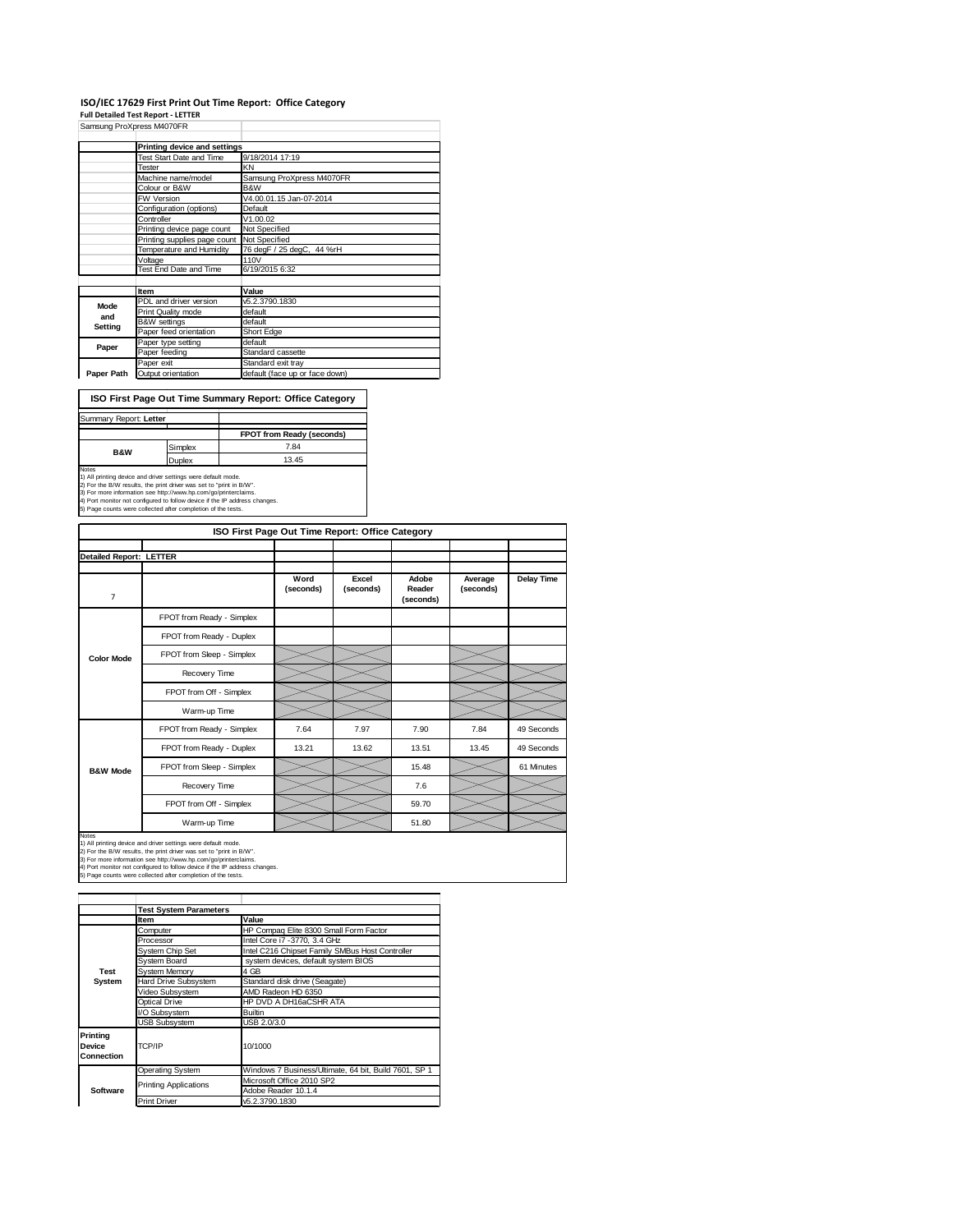## **ISO/IEC 17629 First Print Out Time Report: Office Category Full Detailed Test Report ‐ LETTER**

|            | Samsung ProXpress M4070FR    |                                |
|------------|------------------------------|--------------------------------|
|            | Printing device and settings |                                |
|            | Test Start Date and Time     | 9/18/2014 17:19                |
|            | Tester                       | KN                             |
|            | Machine name/model           | Samsung ProXpress M4070FR      |
|            | Colour or B&W                | B&W                            |
|            | <b>FW Version</b>            | V4.00.01.15 Jan-07-2014        |
|            | Configuration (options)      | Default                        |
|            | Controller                   | V1.00.02                       |
|            | Printing device page count   | Not Specified                  |
|            | Printing supplies page count | Not Specified                  |
|            | Temperature and Humidity     | 76 degF / 25 degC, 44 %rH      |
|            | Voltage                      | 110V                           |
|            | Test End Date and Time       | 6/19/2015 6:32                 |
|            |                              |                                |
|            | Item                         | Value                          |
| Mode       | PDL and driver version       | v5.2.3790.1830                 |
| and        | Print Quality mode           | default                        |
| Setting    | <b>B&amp;W</b> settings      | default                        |
|            | Paper feed orientation       | Short Edge                     |
| Paper      | Paper type setting           | default                        |
|            | Paper feeding                | Standard cassette              |
|            | Paper exit                   | Standard exit tray             |
| Paper Path | Output orientation           | default (face up or face down) |

**ISO First Page Out Time Summary Report: Office Category**

|         | FPOT from Ready (seconds) |
|---------|---------------------------|
| Simplex | 7.84                      |
| Duplex  | 13.45                     |
|         |                           |

Notes<br>1) All printing device and driver settings were default mode.<br>2) For the B/W results, the print driver was set to "print in B/W".<br>3) For more information see http://www.hp.com/go/printerclaims.<br>4) Port monitor not co

| ISO First Page Out Time Report: Office Category |                           |                   |                    |                              |                      |                   |
|-------------------------------------------------|---------------------------|-------------------|--------------------|------------------------------|----------------------|-------------------|
| <b>Detailed Report: LETTER</b>                  |                           |                   |                    |                              |                      |                   |
| $\overline{7}$                                  |                           | Word<br>(seconds) | Excel<br>(seconds) | Adobe<br>Reader<br>(seconds) | Average<br>(seconds) | <b>Delay Time</b> |
|                                                 | FPOT from Ready - Simplex |                   |                    |                              |                      |                   |
|                                                 | FPOT from Ready - Duplex  |                   |                    |                              |                      |                   |
| <b>Color Mode</b>                               | FPOT from Sleep - Simplex |                   |                    |                              |                      |                   |
|                                                 | Recovery Time             |                   |                    |                              |                      |                   |
|                                                 | FPOT from Off - Simplex   |                   |                    |                              |                      |                   |
|                                                 | Warm-up Time              |                   |                    |                              |                      |                   |
|                                                 | FPOT from Ready - Simplex | 7.64              | 7.97               | 7.90                         | 7.84                 | 49 Seconds        |
|                                                 | FPOT from Ready - Duplex  | 13.21             | 13.62              | 13.51                        | 13.45                | 49 Seconds        |
| <b>B&amp;W Mode</b>                             | FPOT from Sleep - Simplex |                   |                    | 15.48                        |                      | 61 Minutes        |
|                                                 | Recovery Time             |                   |                    | 7.6                          |                      |                   |
|                                                 | FPOT from Off - Simplex   |                   |                    | 59.70                        |                      |                   |
|                                                 | Warm-up Time              |                   |                    | 51.80                        |                      |                   |

Notes<br>1) All printing device and driver settings were default mode.<br>2) For the B/W results, the print driver was set to "print in B/W".<br>3) For more information see http://www.hp.com/go/printerclaims.<br>4) Port monitor not co

|                                  | <b>Test System Parameters</b>           |                                                       |
|----------------------------------|-----------------------------------------|-------------------------------------------------------|
|                                  | Item                                    | Value                                                 |
|                                  | Computer                                | HP Compaq Elite 8300 Small Form Factor                |
|                                  | Processor                               | Intel Core i7 -3770, 3.4 GHz                          |
|                                  | System Chip Set                         | Intel C216 Chipset Family SMBus Host Controller       |
|                                  | System Board                            | system devices, default system BIOS                   |
| <b>Test</b>                      | <b>System Memory</b>                    | 4 GB                                                  |
| System                           | Hard Drive Subsystem                    | Standard disk drive (Seagate)                         |
|                                  | Video Subsystem                         | AMD Radeon HD 6350                                    |
|                                  | Optical Drive<br>HP DVD A DH16aCSHR ATA |                                                       |
|                                  | I/O Subsystem                           | <b>Builtin</b>                                        |
|                                  | <b>USB Subsystem</b>                    | USB 2.0/3.0                                           |
| Printina<br>Device<br>Connection | TCP/IP                                  | 10/1000                                               |
|                                  | <b>Operating System</b>                 | Windows 7 Business/Ultimate, 64 bit, Build 7601, SP 1 |
|                                  | <b>Printing Applications</b>            | Microsoft Office 2010 SP2                             |
| <b>Software</b>                  |                                         | Adobe Reader 10.1.4                                   |
|                                  | <b>Print Driver</b>                     | v5.2.3790.1830                                        |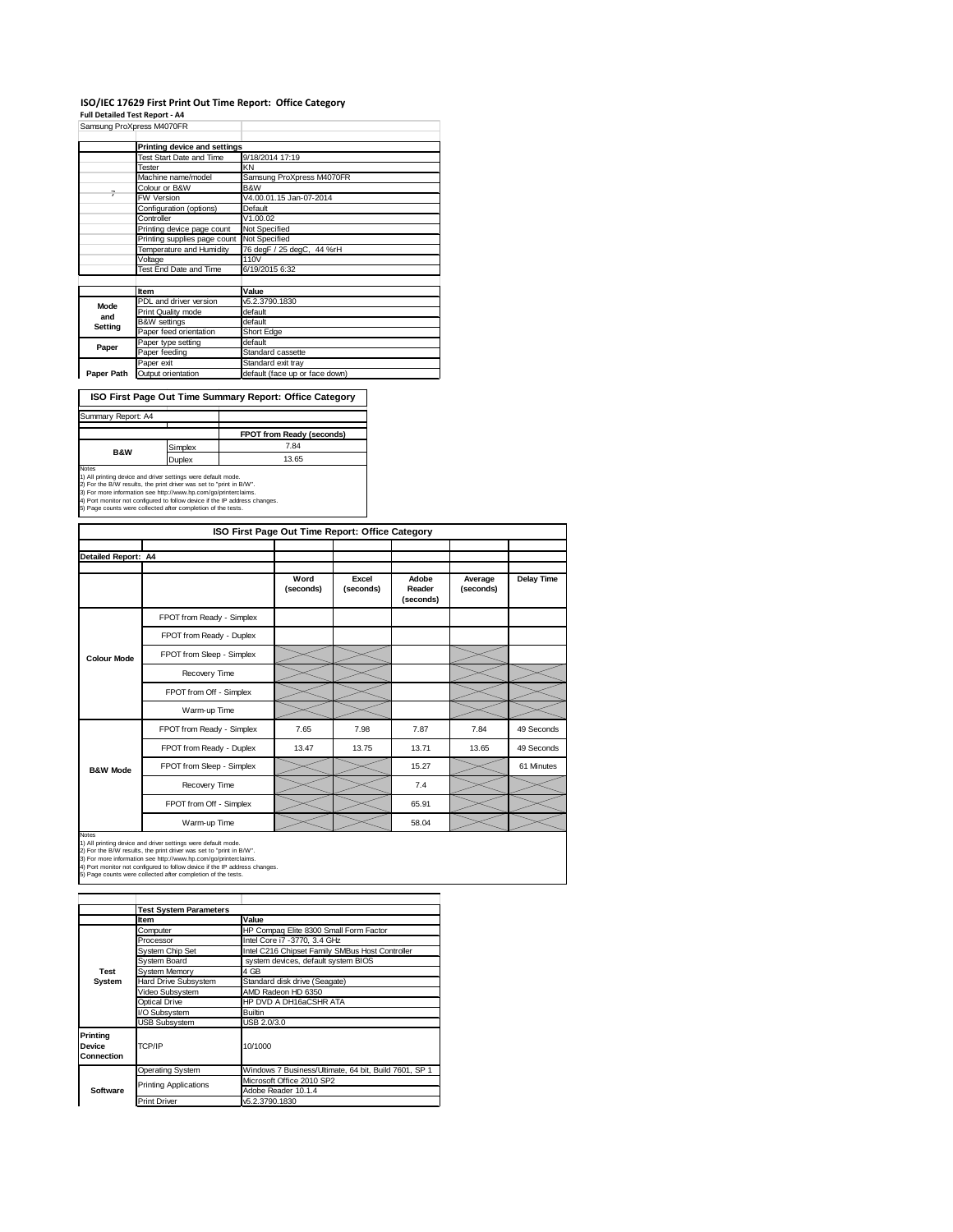### **ISO/IEC 17629 First Print Out Time Report: Office Category**

**Full Detailed Test Report ‐ A4**

|            | Samsung ProXpress M4070FR    |                                |
|------------|------------------------------|--------------------------------|
|            | Printing device and settings |                                |
|            | Test Start Date and Time     | 9/18/2014 17:19                |
|            | Tester                       | KN                             |
|            | Machine name/model           | Samsung ProXpress M4070FR      |
|            | Colour or B&W                | B&W                            |
| 7          | FW Version                   | V4.00.01.15 Jan-07-2014        |
|            | Configuration (options)      | Default                        |
|            | Controller                   | V1.00.02                       |
|            | Printing device page count   | Not Specified                  |
|            | Printing supplies page count | Not Specified                  |
|            | Temperature and Humidity     | 76 degF / 25 degC, 44 %rH      |
|            | Voltage                      | 110V                           |
|            | Test End Date and Time       | 6/19/2015 6:32                 |
|            |                              |                                |
|            | Item                         | Value                          |
| Mode       | PDL and driver version       | v5.2.3790.1830                 |
| and        | Print Quality mode           | default                        |
| Setting    | <b>B&amp;W</b> settings      | default                        |
|            | Paper feed orientation       | Short Edge                     |
| Paper      | Paper type setting           | default                        |
|            | Paper feeding                | Standard cassette              |
|            | Paper exit                   | Standard exit tray             |
| Paper Path | Output orientation           | default (face up or face down) |

**ISO First Page Out Time Summary Report: Office Category**

| Summary Report: A4 |         |                           |
|--------------------|---------|---------------------------|
|                    |         |                           |
|                    |         | FPOT from Ready (seconds) |
| <b>B&amp;W</b>     | Simplex | 7.84                      |
|                    | Duplex  | 13.65                     |
| <b>Notes</b>       |         |                           |

Notes<br>1) All printing device and driver settings were default mode.<br>2) For the B/W results, the print driver was set to "print in B/W".<br>3) For more information see http://www.hp.com/go/printerclaims.<br>4) Port monitor not co

| ISO First Page Out Time Report: Office Category |                           |                   |                    |                              |                      |            |  |
|-------------------------------------------------|---------------------------|-------------------|--------------------|------------------------------|----------------------|------------|--|
| Detailed Report: A4                             |                           |                   |                    |                              |                      |            |  |
|                                                 |                           | Word<br>(seconds) | Excel<br>(seconds) | Adobe<br>Reader<br>(seconds) | Average<br>(seconds) | Delay Time |  |
|                                                 | FPOT from Ready - Simplex |                   |                    |                              |                      |            |  |
|                                                 | FPOT from Ready - Duplex  |                   |                    |                              |                      |            |  |
| <b>Colour Mode</b>                              | FPOT from Sleep - Simplex |                   |                    |                              |                      |            |  |
|                                                 | Recovery Time             |                   |                    |                              |                      |            |  |
|                                                 | FPOT from Off - Simplex   |                   |                    |                              |                      |            |  |
|                                                 | Warm-up Time              |                   |                    |                              |                      |            |  |
|                                                 | FPOT from Ready - Simplex | 7.65              | 7.98               | 7.87                         | 7.84                 | 49 Seconds |  |
|                                                 | FPOT from Ready - Duplex  | 13.47             | 13.75              | 13.71                        | 13.65                | 49 Seconds |  |
| <b>B&amp;W Mode</b>                             | FPOT from Sleep - Simplex |                   |                    | 15.27                        |                      | 61 Minutes |  |
|                                                 | Recovery Time             |                   |                    | 7.4                          |                      |            |  |
|                                                 | FPOT from Off - Simplex   |                   |                    | 65.91                        |                      |            |  |
|                                                 | Warm-up Time              |                   |                    | 58.04                        |                      |            |  |

Notes<br>1) All printing device and driver settings were default mode.<br>2) For the B/W results, the print driver was set to "print in B/W".<br>3) For more information see http://www.hp.com/go/printerclaims.<br>4) Port monitor not co

|                                  | <b>Test System Parameters</b>           |                                                       |  |
|----------------------------------|-----------------------------------------|-------------------------------------------------------|--|
|                                  | Item                                    | Value                                                 |  |
|                                  | Computer                                | HP Compaq Elite 8300 Small Form Factor                |  |
|                                  | Processor                               | Intel Core i7 -3770, 3.4 GHz                          |  |
|                                  | System Chip Set                         | Intel C216 Chipset Family SMBus Host Controller       |  |
|                                  | System Board                            | system devices, default system BIOS                   |  |
| Test                             | <b>System Memory</b>                    | 4 GB                                                  |  |
| System                           | Hard Drive Subsystem                    | Standard disk drive (Seagate)                         |  |
|                                  | Video Subsystem                         | AMD Radeon HD 6350                                    |  |
|                                  | Optical Drive<br>HP DVD A DH16aCSHR ATA |                                                       |  |
|                                  | I/O Subsystem                           | <b>Builtin</b>                                        |  |
|                                  | <b>USB Subsystem</b>                    | USB 2.0/3.0                                           |  |
| Printing<br>Device<br>Connection | TCP/IP                                  | 10/1000                                               |  |
|                                  | <b>Operating System</b>                 | Windows 7 Business/Ultimate, 64 bit, Build 7601, SP 1 |  |
|                                  |                                         | Microsoft Office 2010 SP2                             |  |
| Software                         | <b>Printing Applications</b>            | Adobe Reader 10.1.4                                   |  |
|                                  | <b>Print Driver</b>                     | v5.2.3790.1830                                        |  |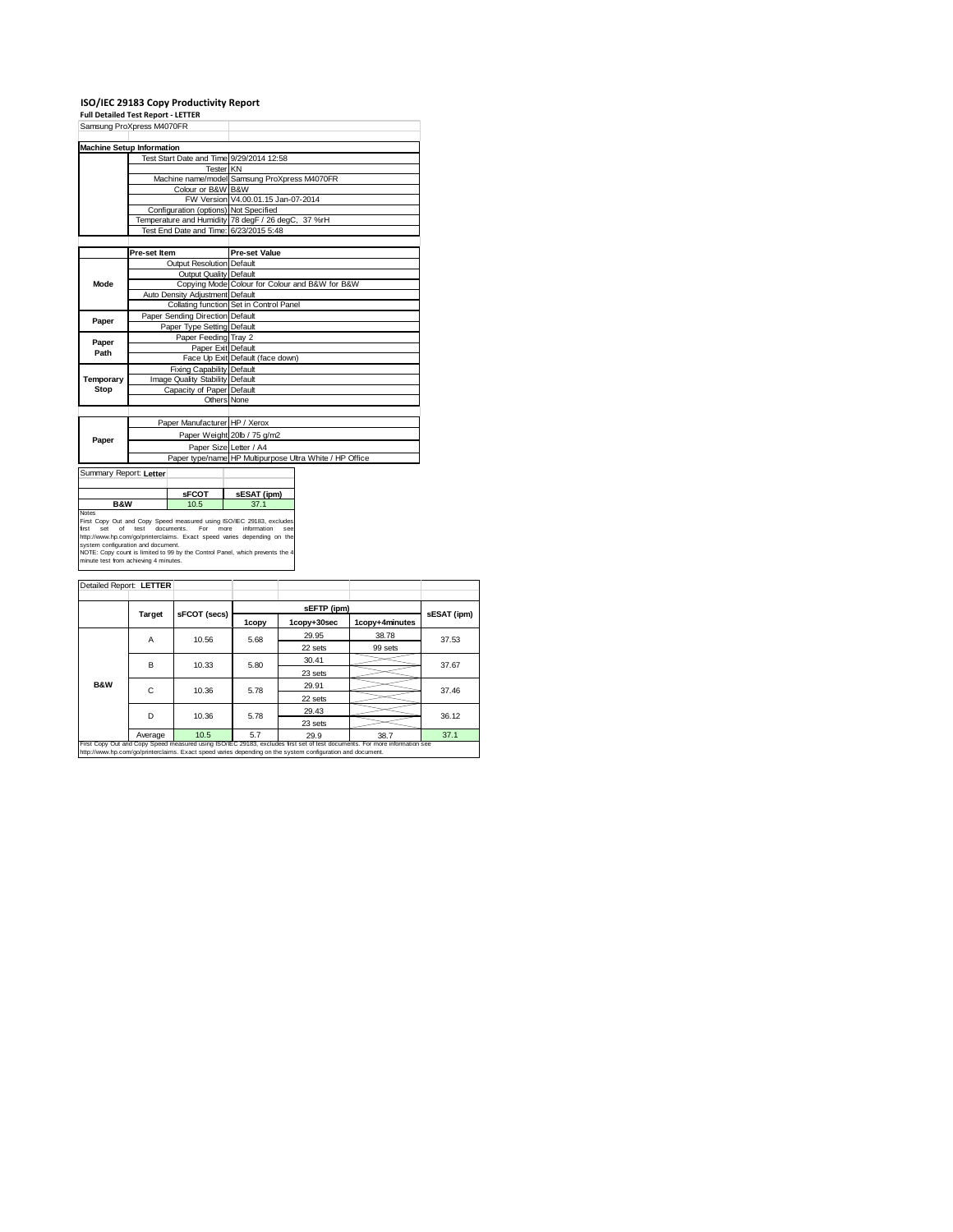# **ISO/IEC 29183 Copy Productivity Report Full Detailed Test Report ‐ LETTER** Samsung ProXpress M4070FR

| Samsung Proxpless M4070FR                                                                                                                   |                                                                      |                                       |                                                                                   |  |  |  |  |  |
|---------------------------------------------------------------------------------------------------------------------------------------------|----------------------------------------------------------------------|---------------------------------------|-----------------------------------------------------------------------------------|--|--|--|--|--|
|                                                                                                                                             |                                                                      |                                       |                                                                                   |  |  |  |  |  |
| <b>Machine Setup Information</b>                                                                                                            |                                                                      |                                       |                                                                                   |  |  |  |  |  |
|                                                                                                                                             |                                                                      |                                       | Test Start Date and Time 9/29/2014 12:58                                          |  |  |  |  |  |
|                                                                                                                                             |                                                                      |                                       | <b>Tester KN</b>                                                                  |  |  |  |  |  |
|                                                                                                                                             |                                                                      |                                       | Machine name/model Samsung ProXpress M4070FR                                      |  |  |  |  |  |
|                                                                                                                                             |                                                                      | Colour or B&W B&W                     |                                                                                   |  |  |  |  |  |
|                                                                                                                                             |                                                                      |                                       | FW Version V4.00.01.15 Jan-07-2014                                                |  |  |  |  |  |
|                                                                                                                                             |                                                                      | Configuration (options) Not Specified |                                                                                   |  |  |  |  |  |
|                                                                                                                                             |                                                                      |                                       | Temperature and Humidity 78 degF / 26 degC, 37 %rH                                |  |  |  |  |  |
|                                                                                                                                             |                                                                      |                                       | Test End Date and Time: 6/23/2015 5:48                                            |  |  |  |  |  |
|                                                                                                                                             |                                                                      |                                       |                                                                                   |  |  |  |  |  |
|                                                                                                                                             | Pre-set Item                                                         |                                       | <b>Pre-set Value</b>                                                              |  |  |  |  |  |
|                                                                                                                                             |                                                                      | Output Resolution Default             |                                                                                   |  |  |  |  |  |
|                                                                                                                                             |                                                                      | Output Quality Default                |                                                                                   |  |  |  |  |  |
| Mode                                                                                                                                        |                                                                      |                                       | Copying Mode Colour for Colour and B&W for B&W                                    |  |  |  |  |  |
|                                                                                                                                             |                                                                      | Auto Density Adjustment Default       |                                                                                   |  |  |  |  |  |
|                                                                                                                                             |                                                                      |                                       | Collating function Set in Control Panel                                           |  |  |  |  |  |
|                                                                                                                                             |                                                                      | Paper Sending Direction Default       |                                                                                   |  |  |  |  |  |
| Paper                                                                                                                                       |                                                                      | Paper Type Setting Default            |                                                                                   |  |  |  |  |  |
|                                                                                                                                             |                                                                      | Paper Feeding Tray 2                  |                                                                                   |  |  |  |  |  |
| Paper                                                                                                                                       |                                                                      | Paper Exit Default                    |                                                                                   |  |  |  |  |  |
| Path                                                                                                                                        |                                                                      |                                       | Face Up Exit Default (face down)                                                  |  |  |  |  |  |
|                                                                                                                                             |                                                                      | Fixing Capability Default             |                                                                                   |  |  |  |  |  |
| Temporary                                                                                                                                   |                                                                      | Image Quality Stability Default       |                                                                                   |  |  |  |  |  |
| Stop                                                                                                                                        |                                                                      | Capacity of Paper Default             |                                                                                   |  |  |  |  |  |
|                                                                                                                                             |                                                                      |                                       | Others None                                                                       |  |  |  |  |  |
|                                                                                                                                             |                                                                      |                                       |                                                                                   |  |  |  |  |  |
|                                                                                                                                             |                                                                      | Paper Manufacturer HP / Xerox         |                                                                                   |  |  |  |  |  |
|                                                                                                                                             |                                                                      |                                       | Paper Weight 20lb / 75 g/m2                                                       |  |  |  |  |  |
| Paper                                                                                                                                       |                                                                      |                                       |                                                                                   |  |  |  |  |  |
|                                                                                                                                             |                                                                      |                                       | Paper Size Letter / A4<br>Paper type/name HP Multipurpose Ultra White / HP Office |  |  |  |  |  |
|                                                                                                                                             |                                                                      |                                       |                                                                                   |  |  |  |  |  |
| Summary Report: Letter                                                                                                                      |                                                                      |                                       |                                                                                   |  |  |  |  |  |
|                                                                                                                                             |                                                                      |                                       |                                                                                   |  |  |  |  |  |
| sFCOT                                                                                                                                       |                                                                      | sESAT (ipm)                           |                                                                                   |  |  |  |  |  |
| <b>B&amp;W</b><br>10.5                                                                                                                      |                                                                      | 37.1                                  |                                                                                   |  |  |  |  |  |
| Notes                                                                                                                                       |                                                                      |                                       |                                                                                   |  |  |  |  |  |
| set<br>of                                                                                                                                   | First Copy Out and Copy Speed measured using ISO/IEC 29183, excludes |                                       |                                                                                   |  |  |  |  |  |
| test<br>documents.<br>For<br>more<br>information<br>first<br>see<br>http://www.hp.com/go/printerclaims. Exact speed varies depending on the |                                                                      |                                       |                                                                                   |  |  |  |  |  |
| system configuration and document.                                                                                                          |                                                                      |                                       |                                                                                   |  |  |  |  |  |
| NOTE: Copy count is limited to 99 by the Control Panel, which prevents the 4<br>minute test from achieving 4 minutes.                       |                                                                      |                                       |                                                                                   |  |  |  |  |  |
|                                                                                                                                             |                                                                      |                                       |                                                                                   |  |  |  |  |  |
|                                                                                                                                             |                                                                      |                                       |                                                                                   |  |  |  |  |  |
| Detailed Report: LETTER                                                                                                                     |                                                                      |                                       |                                                                                   |  |  |  |  |  |

| Detailed Report. LETTER                                                                                                                                                                                                                  |               |              |       |             |                |             |  |
|------------------------------------------------------------------------------------------------------------------------------------------------------------------------------------------------------------------------------------------|---------------|--------------|-------|-------------|----------------|-------------|--|
|                                                                                                                                                                                                                                          |               |              |       |             |                |             |  |
|                                                                                                                                                                                                                                          |               |              |       | sEFTP (ipm) |                |             |  |
|                                                                                                                                                                                                                                          | <b>Target</b> | sFCOT (secs) | 1copy | 1copy+30sec | 1copy+4minutes | sESAT (ipm) |  |
|                                                                                                                                                                                                                                          | Α             | 10.56        | 5.68  | 29.95       | 38.78          | 37.53       |  |
|                                                                                                                                                                                                                                          |               |              |       | 22 sets     | 99 sets        |             |  |
|                                                                                                                                                                                                                                          | В             | 10.33        | 5.80  | 30.41       |                | 37.67       |  |
|                                                                                                                                                                                                                                          |               |              |       | 23 sets     |                |             |  |
| <b>B&amp;W</b>                                                                                                                                                                                                                           | C             | 10.36        | 5.78  | 29.91       |                | 37.46       |  |
|                                                                                                                                                                                                                                          |               |              |       | 22 sets     |                |             |  |
|                                                                                                                                                                                                                                          | D             | 10.36        | 5.78  | 29.43       |                | 36.12       |  |
|                                                                                                                                                                                                                                          |               |              |       | 23 sets     |                |             |  |
|                                                                                                                                                                                                                                          | Average       | 10.5         | 5.7   | 29.9        | 38.7           | 37.1        |  |
| First Copy Out and Copy Speed measured using ISO/IEC 29183, excludes first set of test documents. For more information see<br>http://www.hp.com/go/printerclaims. Exact speed varies depending on the system configuration and document. |               |              |       |             |                |             |  |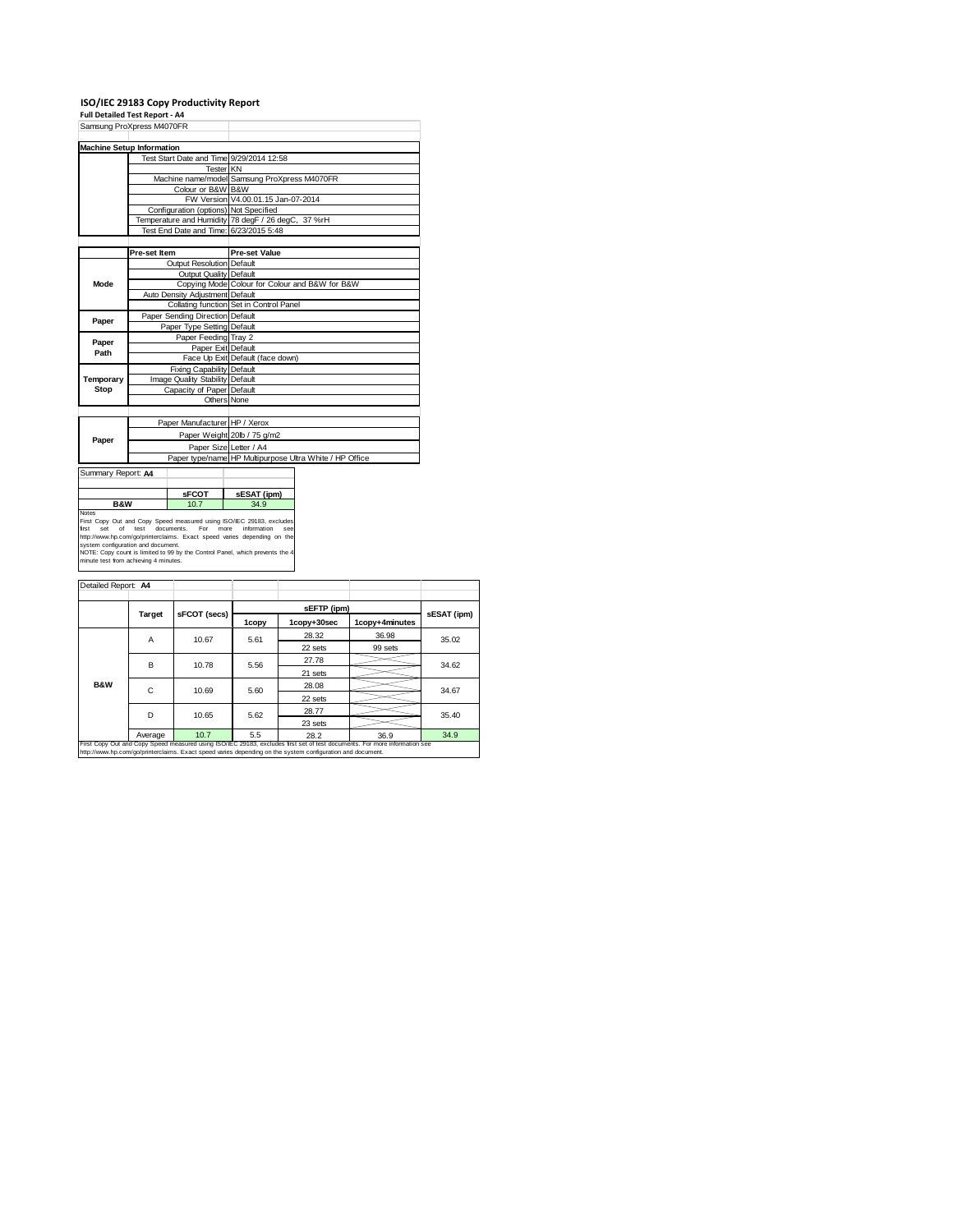## **ISO/IEC 29183 Copy Productivity Report Full Detailed Test Report ‐ A4**

| Samsung ProXpress M4070FR                                                                                     |              |                                       |                                                                      |                                              |  |  |  |  |
|---------------------------------------------------------------------------------------------------------------|--------------|---------------------------------------|----------------------------------------------------------------------|----------------------------------------------|--|--|--|--|
|                                                                                                               |              |                                       |                                                                      |                                              |  |  |  |  |
| <b>Machine Setup Information</b>                                                                              |              |                                       |                                                                      |                                              |  |  |  |  |
|                                                                                                               |              |                                       | Test Start Date and Time 9/29/2014 12:58                             |                                              |  |  |  |  |
|                                                                                                               |              | Tester KN                             |                                                                      |                                              |  |  |  |  |
|                                                                                                               |              |                                       |                                                                      | Machine name/model Samsung ProXpress M4070FR |  |  |  |  |
|                                                                                                               |              | Colour or B&W B&W                     |                                                                      |                                              |  |  |  |  |
|                                                                                                               |              |                                       | FW Version V4.00.01.15 Jan-07-2014                                   |                                              |  |  |  |  |
|                                                                                                               |              | Configuration (options) Not Specified |                                                                      |                                              |  |  |  |  |
|                                                                                                               |              |                                       | Temperature and Humidity 78 degF / 26 degC, 37 %rH                   |                                              |  |  |  |  |
|                                                                                                               |              |                                       | Test End Date and Time: 6/23/2015 5:48                               |                                              |  |  |  |  |
|                                                                                                               |              |                                       |                                                                      |                                              |  |  |  |  |
|                                                                                                               | Pre-set Item |                                       | <b>Pre-set Value</b>                                                 |                                              |  |  |  |  |
|                                                                                                               |              | Output Resolution Default             |                                                                      |                                              |  |  |  |  |
|                                                                                                               |              | Output Quality Default                |                                                                      |                                              |  |  |  |  |
| Mode                                                                                                          |              |                                       | Copying Mode Colour for Colour and B&W for B&W                       |                                              |  |  |  |  |
|                                                                                                               |              | Auto Density Adjustment Default       |                                                                      |                                              |  |  |  |  |
|                                                                                                               |              |                                       | Collating function Set in Control Panel                              |                                              |  |  |  |  |
|                                                                                                               |              | Paper Sending Direction Default       |                                                                      |                                              |  |  |  |  |
| Paper                                                                                                         |              | Paper Type Setting Default            |                                                                      |                                              |  |  |  |  |
|                                                                                                               |              | Paper Feeding Tray 2                  |                                                                      |                                              |  |  |  |  |
| Paper                                                                                                         |              | Paper Exit Default                    |                                                                      |                                              |  |  |  |  |
| Path                                                                                                          |              |                                       | Face Up Exit Default (face down)                                     |                                              |  |  |  |  |
|                                                                                                               |              | Fixing Capability Default             |                                                                      |                                              |  |  |  |  |
| Temporary                                                                                                     |              | Image Quality Stability Default       |                                                                      |                                              |  |  |  |  |
| Stop                                                                                                          |              | Capacity of Paper Default             |                                                                      |                                              |  |  |  |  |
|                                                                                                               |              | Others None                           |                                                                      |                                              |  |  |  |  |
|                                                                                                               |              |                                       |                                                                      |                                              |  |  |  |  |
|                                                                                                               |              |                                       |                                                                      |                                              |  |  |  |  |
|                                                                                                               |              | Paper Manufacturer HP / Xerox         |                                                                      |                                              |  |  |  |  |
| Paper                                                                                                         |              |                                       | Paper Weight 20lb / 75 g/m2                                          |                                              |  |  |  |  |
|                                                                                                               |              |                                       | Paper Size Letter / A4                                               |                                              |  |  |  |  |
|                                                                                                               |              |                                       | Paper type/name HP Multipurpose Ultra White / HP Office              |                                              |  |  |  |  |
| Summary Report: A4                                                                                            |              |                                       |                                                                      |                                              |  |  |  |  |
|                                                                                                               |              |                                       |                                                                      |                                              |  |  |  |  |
| <b>sFCOT</b>                                                                                                  |              | sESAT (ipm)                           |                                                                      |                                              |  |  |  |  |
| <b>B&amp;W</b><br>10.7                                                                                        |              | 34.9                                  |                                                                      |                                              |  |  |  |  |
| Notes                                                                                                         |              |                                       |                                                                      |                                              |  |  |  |  |
|                                                                                                               |              |                                       | First Copy Out and Copy Speed measured using ISO/IEC 29183, excludes |                                              |  |  |  |  |
| Set<br>of<br>first                                                                                            | test         | For<br>documents.                     | more<br>information<br>SAA                                           |                                              |  |  |  |  |
| http://www.hp.com/go/printerclaims. Exact speed varies depending on the<br>system configuration and document. |              |                                       |                                                                      |                                              |  |  |  |  |
| NOTE: Copy count is limited to 99 by the Control Panel, which prevents the 4                                  |              |                                       |                                                                      |                                              |  |  |  |  |
| minute test from achieving 4 minutes.                                                                         |              |                                       |                                                                      |                                              |  |  |  |  |
|                                                                                                               |              |                                       |                                                                      |                                              |  |  |  |  |
| Detailed Report: A4                                                                                           |              |                                       |                                                                      |                                              |  |  |  |  |
|                                                                                                               |              |                                       |                                                                      |                                              |  |  |  |  |

|                | Target  | sFCOT (secs)       | sEFTP (ipm) |             |                                                                                                                            | sESAT (ipm) |       |  |       |
|----------------|---------|--------------------|-------------|-------------|----------------------------------------------------------------------------------------------------------------------------|-------------|-------|--|-------|
|                |         |                    | 1copy       | 1copy+30sec | 1copy+4minutes                                                                                                             |             |       |  |       |
|                | A       |                    | 10.67       | 5.61        | 28.32                                                                                                                      | 36.98       | 35.02 |  |       |
|                |         |                    |             | 22 sets     | 99 sets                                                                                                                    |             |       |  |       |
|                | B       |                    |             |             | 10.78                                                                                                                      | 5.56        | 27.78 |  | 34.62 |
|                |         |                    |             | 21 sets     |                                                                                                                            |             |       |  |       |
| <b>B&amp;W</b> | C       | 10.69              | 5.60        | 28.08       |                                                                                                                            | 34.67       |       |  |       |
|                |         |                    |             | 22 sets     |                                                                                                                            |             |       |  |       |
|                |         |                    |             | 28.77       |                                                                                                                            |             |       |  |       |
|                |         | D<br>5.62<br>10.65 | 23 sets     |             | 35.40                                                                                                                      |             |       |  |       |
|                | Average | 10.7               | 5.5         | 28.2        | 36.9                                                                                                                       | 34.9        |       |  |       |
|                |         |                    |             |             | First Copy Out and Copy Speed measured using ISO/IEC 29183, excludes first set of test documents. For more information see |             |       |  |       |

First Copy Out and Copy Speed measured using ISO/IEC 29183, excludes first set of test documents. For more information see<br>http://www.hp.com/go/printerclaims. Exact speed varies depending on the system configuration and do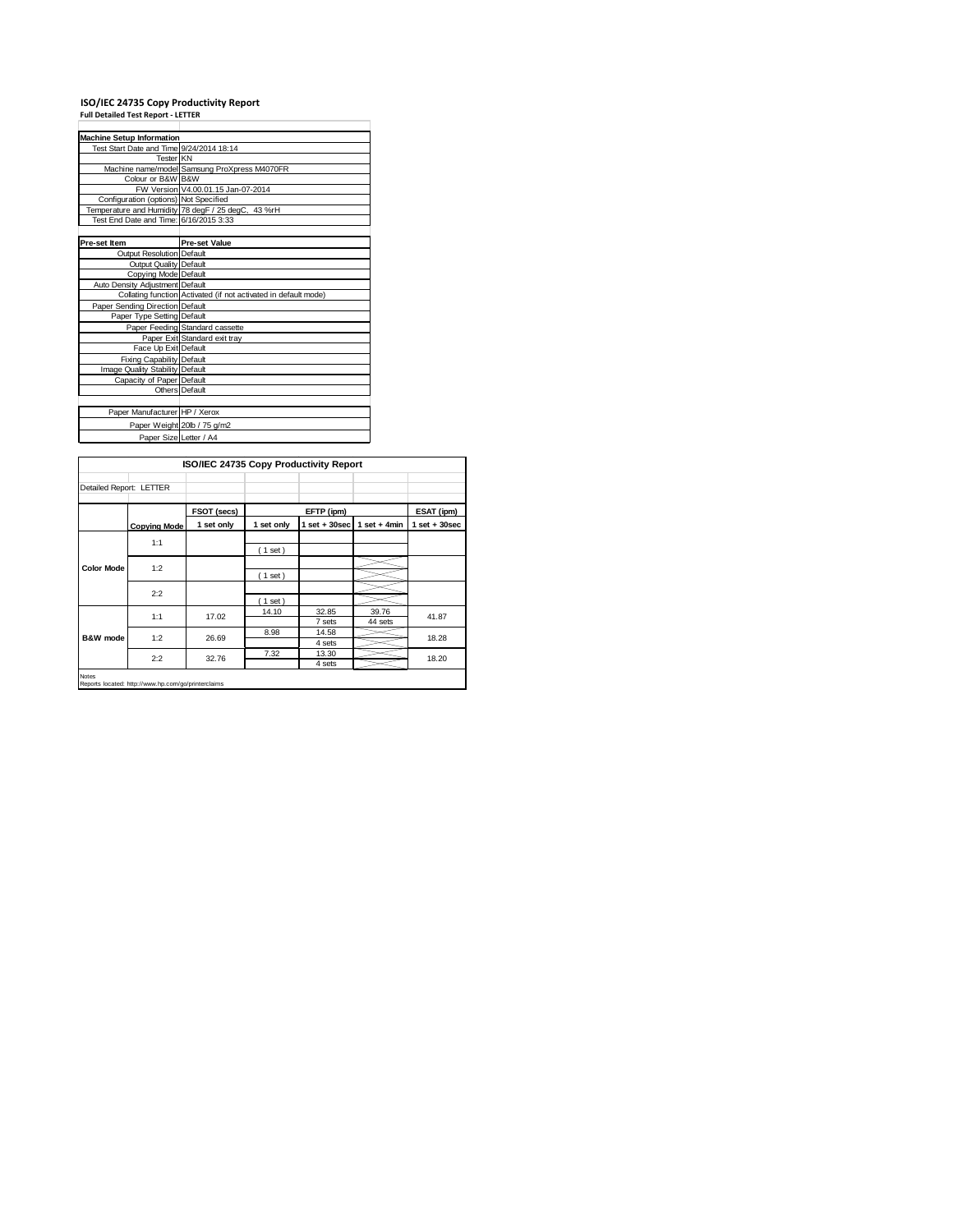## **ISO/IEC 24735 Copy Productivity Report Full Detailed Test Report ‐ LETTER**

| <b>Machine Setup Information</b>         |                                                                 |  |  |  |  |
|------------------------------------------|-----------------------------------------------------------------|--|--|--|--|
| Test Start Date and Time 9/24/2014 18:14 |                                                                 |  |  |  |  |
| Tester KN                                |                                                                 |  |  |  |  |
|                                          | Machine name/model Samsung ProXpress M4070FR                    |  |  |  |  |
| Colour or B&W B&W                        |                                                                 |  |  |  |  |
|                                          | FW Version V4.00.01.15 Jan-07-2014                              |  |  |  |  |
| Configuration (options) Not Specified    |                                                                 |  |  |  |  |
|                                          | Temperature and Humidity 78 degF / 25 degC, 43 %rH              |  |  |  |  |
| Test End Date and Time: 6/16/2015 3:33   |                                                                 |  |  |  |  |
|                                          |                                                                 |  |  |  |  |
| Pre-set Item                             | <b>Pre-set Value</b>                                            |  |  |  |  |
| Output Resolution Default                |                                                                 |  |  |  |  |
| Output Quality Default                   |                                                                 |  |  |  |  |
| Copying Mode Default                     |                                                                 |  |  |  |  |
| Auto Density Adjustment Default          |                                                                 |  |  |  |  |
|                                          | Collating function Activated (if not activated in default mode) |  |  |  |  |
| Paper Sending Direction Default          |                                                                 |  |  |  |  |
| Paper Type Setting Default               |                                                                 |  |  |  |  |
|                                          | Paper Feeding Standard cassette                                 |  |  |  |  |
|                                          | Paper Exit Standard exit tray                                   |  |  |  |  |
| Face Up Exit Default                     |                                                                 |  |  |  |  |
| <b>Fixing Capability Default</b>         |                                                                 |  |  |  |  |
| Image Quality Stability Default          |                                                                 |  |  |  |  |
| Capacity of Paper Default                |                                                                 |  |  |  |  |
|                                          | Others Default                                                  |  |  |  |  |
|                                          |                                                                 |  |  |  |  |
| Paper Manufacturer HP / Xerox            |                                                                 |  |  |  |  |
|                                          | Paper Weight 20lb / 75 g/m2                                     |  |  |  |  |
| Paper Size Letter / A4                   |                                                                 |  |  |  |  |

|                                                                     | ISO/IEC 24735 Copy Productivity Report |             |            |                   |                  |                   |  |
|---------------------------------------------------------------------|----------------------------------------|-------------|------------|-------------------|------------------|-------------------|--|
| Detailed Report: LETTER                                             |                                        |             |            |                   |                  |                   |  |
|                                                                     |                                        | FSOT (secs) |            | EFTP (ipm)        |                  | ESAT (ipm)        |  |
|                                                                     | <b>Copying Mode</b>                    | 1 set only  | 1 set only | $1$ set $+30$ sec | 1 set + $4min$   | $1$ set $+30$ sec |  |
| <b>Color Mode</b>                                                   | 1:1                                    |             | (1 set)    |                   |                  |                   |  |
|                                                                     | 1:2                                    |             | (1 set)    |                   |                  |                   |  |
|                                                                     | 2:2                                    |             | (1 set)    |                   |                  |                   |  |
|                                                                     | 1:1                                    | 17.02       | 14.10      | 32.85<br>7 sets   | 39.76<br>44 sets | 41.87             |  |
| B&W mode                                                            | 1:2                                    | 26.69       | 8.98       | 14.58<br>4 sets   |                  | 18.28             |  |
|                                                                     | 2:2                                    | 32.76       | 7.32       | 13.30<br>4 sets   |                  | 18.20             |  |
| <b>Notes</b><br>Reports located: http://www.hp.com/go/printerclaims |                                        |             |            |                   |                  |                   |  |